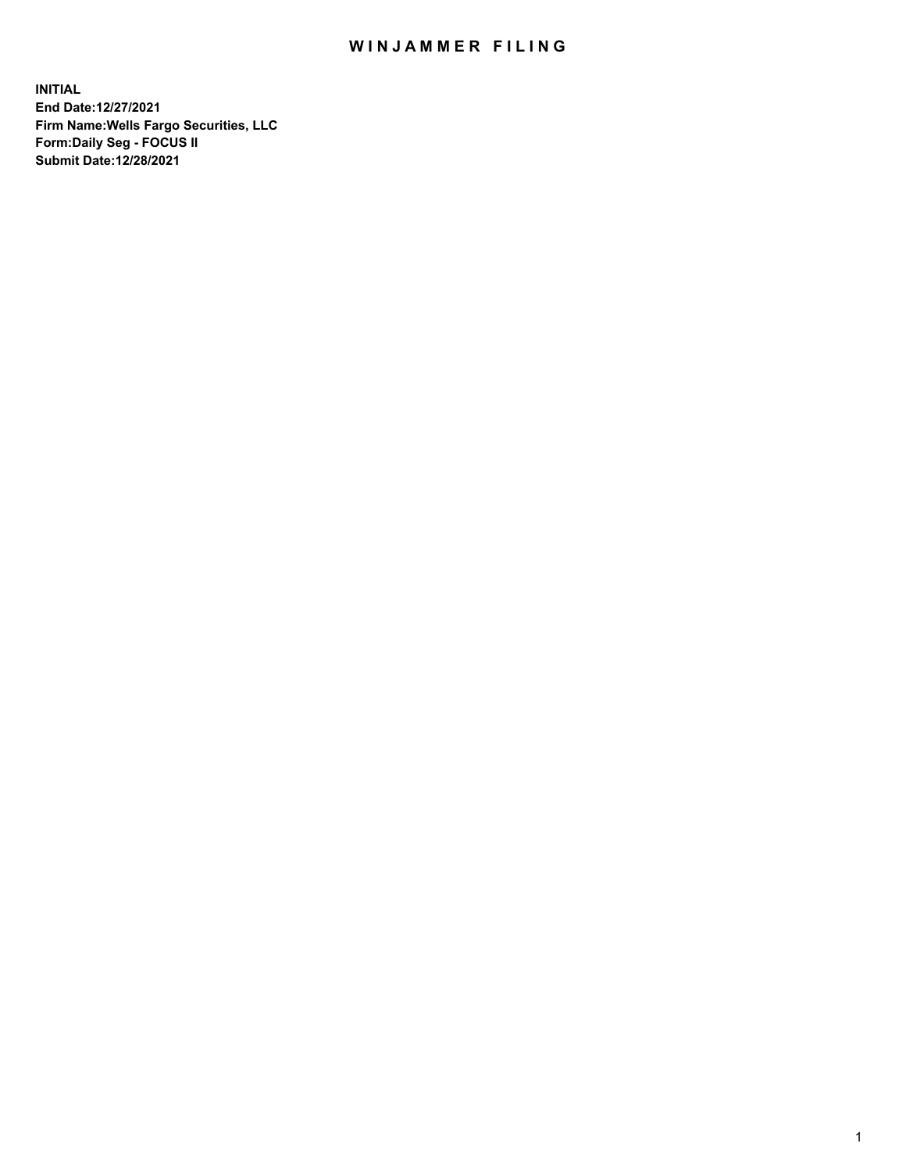## WIN JAMMER FILING

**INITIAL End Date:12/27/2021 Firm Name:Wells Fargo Securities, LLC Form:Daily Seg - FOCUS II Submit Date:12/28/2021**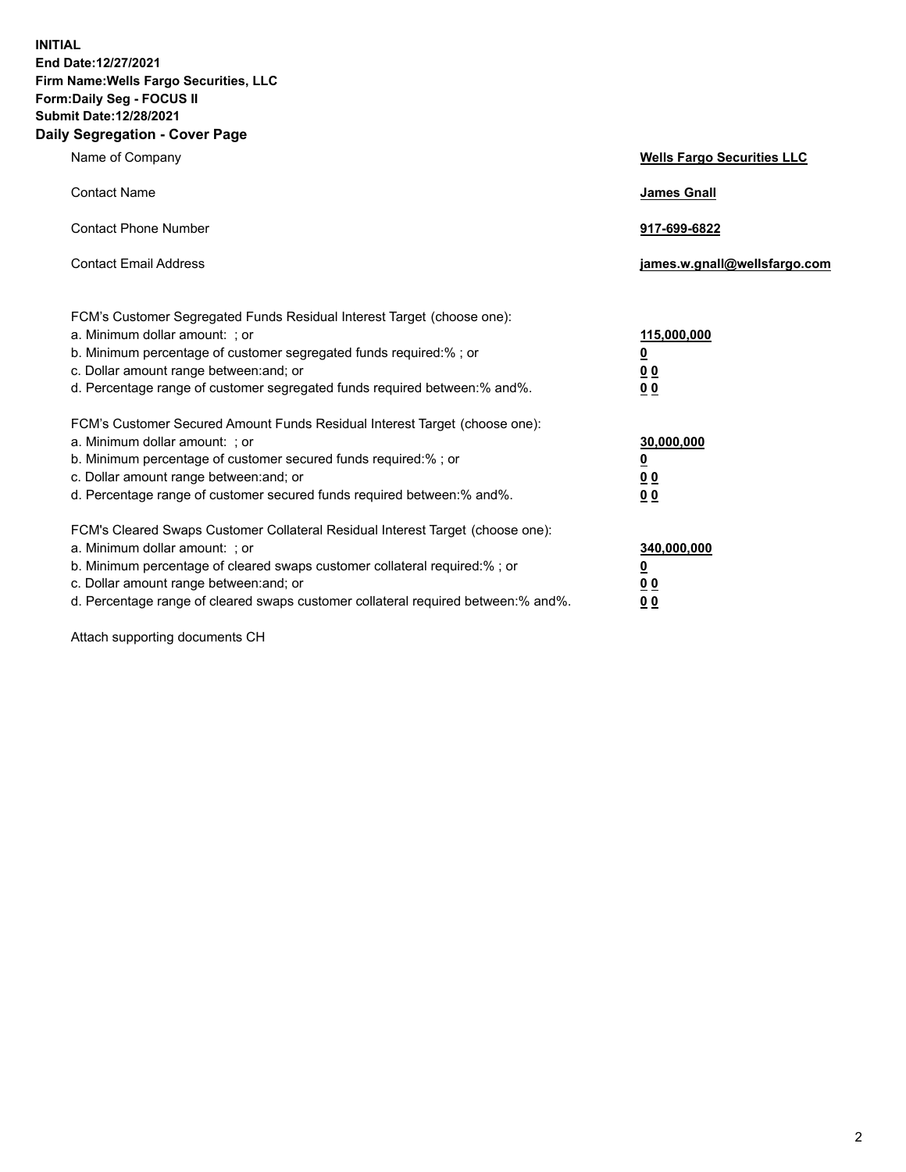**INITIAL End Date:12/27/2021 Firm Name:Wells Fargo Securities, LLC Form:Daily Seg - FOCUS II Submit Date:12/28/2021 Daily Segregation - Cover Page**

| Name of Company                                                                                                                                                                                                                                                                                                                | <b>Wells Fargo Securities LLC</b>                          |
|--------------------------------------------------------------------------------------------------------------------------------------------------------------------------------------------------------------------------------------------------------------------------------------------------------------------------------|------------------------------------------------------------|
| <b>Contact Name</b>                                                                                                                                                                                                                                                                                                            | <b>James Gnall</b>                                         |
| <b>Contact Phone Number</b>                                                                                                                                                                                                                                                                                                    | 917-699-6822                                               |
| <b>Contact Email Address</b>                                                                                                                                                                                                                                                                                                   | james.w.gnall@wellsfargo.com                               |
| FCM's Customer Segregated Funds Residual Interest Target (choose one):<br>a. Minimum dollar amount: ; or<br>b. Minimum percentage of customer segregated funds required:% ; or<br>c. Dollar amount range between: and; or<br>d. Percentage range of customer segregated funds required between:% and%.                         | 115,000,000<br><u>0</u><br>0 <sub>0</sub><br>00            |
| FCM's Customer Secured Amount Funds Residual Interest Target (choose one):<br>a. Minimum dollar amount: ; or<br>b. Minimum percentage of customer secured funds required:%; or<br>c. Dollar amount range between: and; or<br>d. Percentage range of customer secured funds required between:% and%.                            | 30,000,000<br><u>0</u><br>0 <sub>0</sub><br>0 <sub>0</sub> |
| FCM's Cleared Swaps Customer Collateral Residual Interest Target (choose one):<br>a. Minimum dollar amount: ; or<br>b. Minimum percentage of cleared swaps customer collateral required:% ; or<br>c. Dollar amount range between: and; or<br>d. Percentage range of cleared swaps customer collateral required between:% and%. | 340,000,000<br><u>0</u><br>00<br>00                        |

Attach supporting documents CH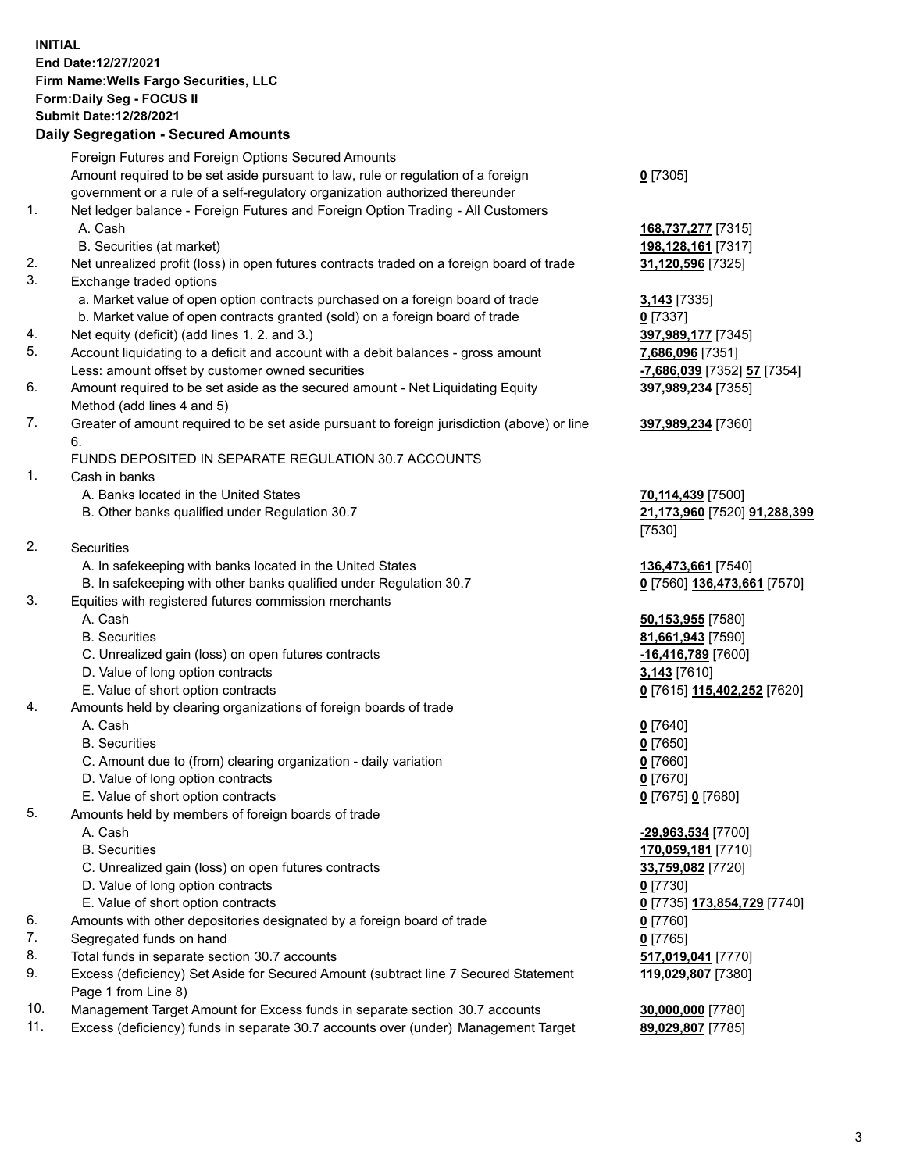**INITIAL End Date:12/27/2021 Firm Name:Wells Fargo Securities, LLC Form:Daily Seg - FOCUS II Submit Date:12/28/2021**

## **Daily Segregation - Secured Amounts**

|     | Foreign Futures and Foreign Options Secured Amounts                                         |                                                   |
|-----|---------------------------------------------------------------------------------------------|---------------------------------------------------|
|     | Amount required to be set aside pursuant to law, rule or regulation of a foreign            | $0$ [7305]                                        |
|     | government or a rule of a self-regulatory organization authorized thereunder                |                                                   |
| 1.  | Net ledger balance - Foreign Futures and Foreign Option Trading - All Customers             |                                                   |
|     | A. Cash                                                                                     | 168,737,277 [7315]                                |
|     | B. Securities (at market)                                                                   | 198,128,161 [7317]                                |
| 2.  | Net unrealized profit (loss) in open futures contracts traded on a foreign board of trade   | 31,120,596 [7325]                                 |
| 3.  | Exchange traded options                                                                     |                                                   |
|     | a. Market value of open option contracts purchased on a foreign board of trade              | 3,143 [7335]                                      |
|     | b. Market value of open contracts granted (sold) on a foreign board of trade                | $0$ [7337]                                        |
| 4.  | Net equity (deficit) (add lines 1. 2. and 3.)                                               | 397,989,177 [7345]                                |
| 5.  | Account liquidating to a deficit and account with a debit balances - gross amount           | 7,686,096 [7351]                                  |
|     | Less: amount offset by customer owned securities                                            | -7,686,039 [7352] 57 [7354]                       |
| 6.  | Amount required to be set aside as the secured amount - Net Liquidating Equity              | 397,989,234 [7355]                                |
|     | Method (add lines 4 and 5)                                                                  |                                                   |
| 7.  | Greater of amount required to be set aside pursuant to foreign jurisdiction (above) or line | 397,989,234 [7360]                                |
|     | 6.                                                                                          |                                                   |
|     | FUNDS DEPOSITED IN SEPARATE REGULATION 30.7 ACCOUNTS                                        |                                                   |
| 1.  | Cash in banks                                                                               |                                                   |
|     | A. Banks located in the United States                                                       | 70,114,439 [7500]                                 |
|     | B. Other banks qualified under Regulation 30.7                                              | 21,173,960 [7520] 91,288,399                      |
|     |                                                                                             | [7530]                                            |
| 2.  | <b>Securities</b>                                                                           |                                                   |
|     | A. In safekeeping with banks located in the United States                                   | 136,473,661 [7540]                                |
|     | B. In safekeeping with other banks qualified under Regulation 30.7                          | 0 [7560] 136,473,661 [7570]                       |
| 3.  | Equities with registered futures commission merchants                                       |                                                   |
|     | A. Cash                                                                                     | 50,153,955 [7580]                                 |
|     | <b>B.</b> Securities                                                                        | 81,661,943 [7590]                                 |
|     | C. Unrealized gain (loss) on open futures contracts                                         | -16,416,789 [7600]                                |
|     | D. Value of long option contracts                                                           | 3,143 [7610]                                      |
|     | E. Value of short option contracts                                                          | 0 [7615] 115,402,252 [7620]                       |
| 4.  | Amounts held by clearing organizations of foreign boards of trade                           |                                                   |
|     | A. Cash                                                                                     | $0$ [7640]                                        |
|     | <b>B.</b> Securities                                                                        | $0$ [7650]                                        |
|     | C. Amount due to (from) clearing organization - daily variation                             | $0$ [7660]                                        |
|     | D. Value of long option contracts                                                           | $0$ [7670]                                        |
|     | E. Value of short option contracts                                                          | 0 [7675] 0 [7680]                                 |
| 5.  | Amounts held by members of foreign boards of trade                                          |                                                   |
|     | A. Cash                                                                                     | -29,963,534 [7700]                                |
|     | <b>B.</b> Securities                                                                        | 170,059,181 [7710]                                |
|     | C. Unrealized gain (loss) on open futures contracts                                         | 33,759,082 [7720]                                 |
|     | D. Value of long option contracts                                                           | $0$ [7730]                                        |
|     | E. Value of short option contracts                                                          | 0 <sup>[7735]</sup> 173,854,729 <sup>[7740]</sup> |
| 6.  | Amounts with other depositories designated by a foreign board of trade                      | 0 [7760]                                          |
| 7.  | Segregated funds on hand                                                                    | $0$ [7765]                                        |
| 8.  | Total funds in separate section 30.7 accounts                                               | 517,019,041 [7770]                                |
| 9.  | Excess (deficiency) Set Aside for Secured Amount (subtract line 7 Secured Statement         | 119,029,807 [7380]                                |
|     | Page 1 from Line 8)                                                                         |                                                   |
| 10. | Management Target Amount for Excess funds in separate section 30.7 accounts                 | 30,000,000 [7780]                                 |

11. Excess (deficiency) funds in separate 30.7 accounts over (under) Management Target **89,029,807** [7785]

3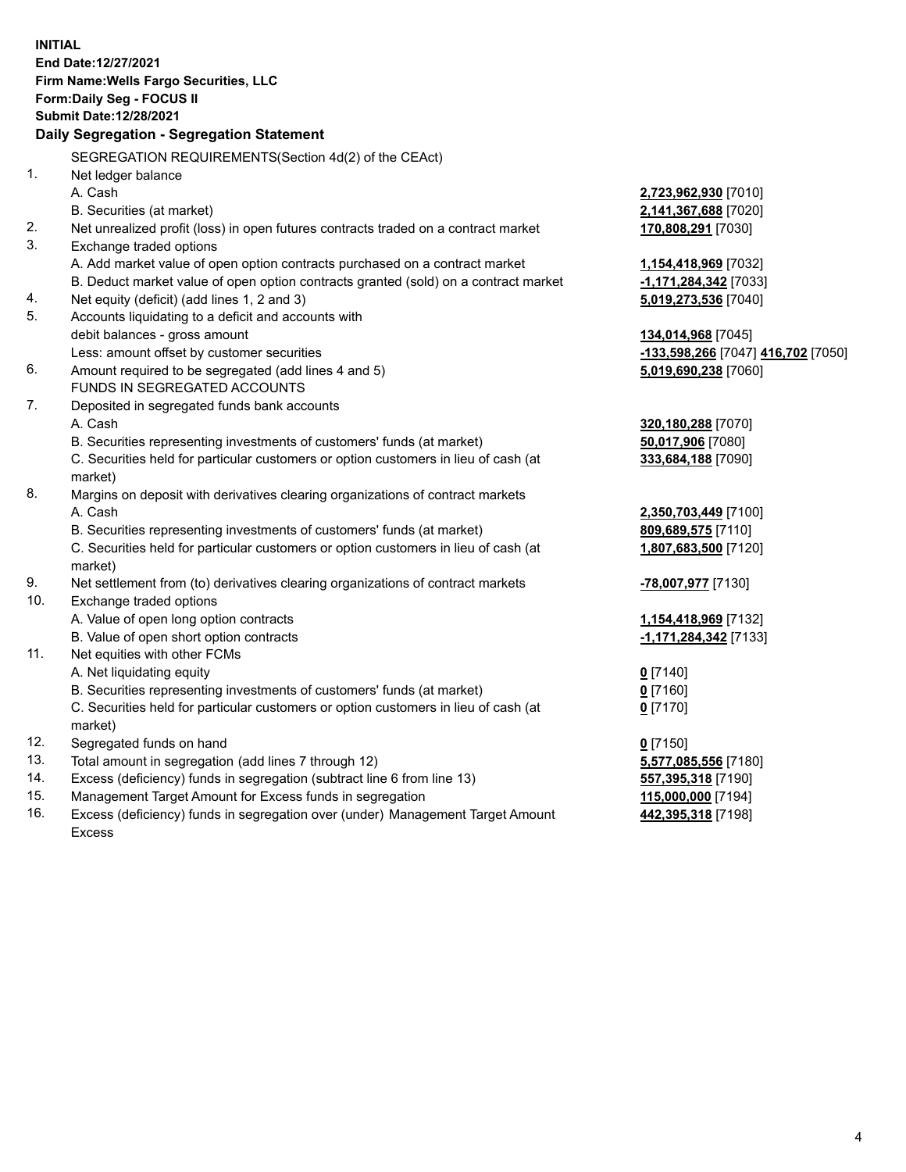**INITIAL End Date:12/27/2021 Firm Name:Wells Fargo Securities, LLC Form:Daily Seg - FOCUS II Submit Date:12/28/2021 Daily Segregation - Segregation Statement** SEGREGATION REQUIREMENTS(Section 4d(2) of the CEAct) 1. Net ledger balance A. Cash **2,723,962,930** [7010] B. Securities (at market) **2,141,367,688** [7020] 2. Net unrealized profit (loss) in open futures contracts traded on a contract market **170,808,291** [7030] 3. Exchange traded options A. Add market value of open option contracts purchased on a contract market **1,154,418,969** [7032] B. Deduct market value of open option contracts granted (sold) on a contract market **-1,171,284,342** [7033] 4. Net equity (deficit) (add lines 1, 2 and 3) **5,019,273,536** [7040] 5. Accounts liquidating to a deficit and accounts with debit balances - gross amount **134,014,968** [7045] Less: amount offset by customer securities **-133,598,266** [7047] **416,702** [7050] 6. Amount required to be segregated (add lines 4 and 5) **5,019,690,238** [7060] FUNDS IN SEGREGATED ACCOUNTS 7. Deposited in segregated funds bank accounts A. Cash **320,180,288** [7070] B. Securities representing investments of customers' funds (at market) **50,017,906** [7080] C. Securities held for particular customers or option customers in lieu of cash (at market) **333,684,188** [7090] 8. Margins on deposit with derivatives clearing organizations of contract markets A. Cash **2,350,703,449** [7100] B. Securities representing investments of customers' funds (at market) **809,689,575** [7110] C. Securities held for particular customers or option customers in lieu of cash (at market) **1,807,683,500** [7120] 9. Net settlement from (to) derivatives clearing organizations of contract markets **-78,007,977** [7130] 10. Exchange traded options A. Value of open long option contracts **1,154,418,969** [7132] B. Value of open short option contracts **-1,171,284,342** [7133] 11. Net equities with other FCMs A. Net liquidating equity **0** [7140] B. Securities representing investments of customers' funds (at market) **0** [7160] C. Securities held for particular customers or option customers in lieu of cash (at market) **0** [7170] 12. Segregated funds on hand **0** [7150] 13. Total amount in segregation (add lines 7 through 12) **5,577,085,556** [7180] 14. Excess (deficiency) funds in segregation (subtract line 6 from line 13) **557,395,318** [7190] 15. Management Target Amount for Excess funds in segregation **115,000,000** [7194] **442,395,318** [7198]

16. Excess (deficiency) funds in segregation over (under) Management Target Amount Excess